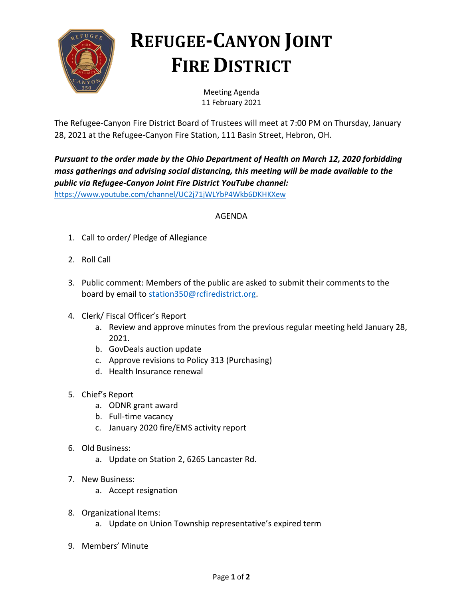

## **REFUGEE-CANYON JOINT FIRE DISTRICT**

Meeting Agenda 11 February 2021

The Refugee-Canyon Fire District Board of Trustees will meet at 7:00 PM on Thursday, January 28, 2021 at the Refugee-Canyon Fire Station, 111 Basin Street, Hebron, OH.

*Pursuant to the order made by the Ohio Department of Health on March 12, 2020 forbidding mass gatherings and advising social distancing, this meeting will be made available to the public via Refugee-Canyon Joint Fire District YouTube channel:* <https://www.youtube.com/channel/UC2j71jWLYbP4Wkb6DKHKXew>

## AGENDA

- 1. Call to order/ Pledge of Allegiance
- 2. Roll Call
- 3. Public comment: Members of the public are asked to submit their comments to the board by email to [station350@rcfiredistrict.org.](mailto:station350@rcfiredistrict.org)
- 4. Clerk/ Fiscal Officer's Report
	- a. Review and approve minutes from the previous regular meeting held January 28, 2021.
	- b. GovDeals auction update
	- c. Approve revisions to Policy 313 (Purchasing)
	- d. Health Insurance renewal
- 5. Chief's Report
	- a. ODNR grant award
	- b. Full-time vacancy
	- c. January 2020 fire/EMS activity report
- 6. Old Business:
	- a. Update on Station 2, 6265 Lancaster Rd.
- 7. New Business:
	- a. Accept resignation
- 8. Organizational Items:
	- a. Update on Union Township representative's expired term
- 9. Members' Minute